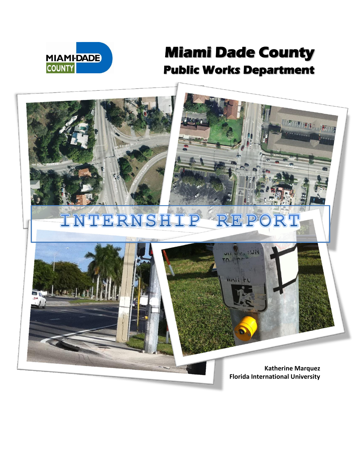

## **Miami Dade County Public Works Department**

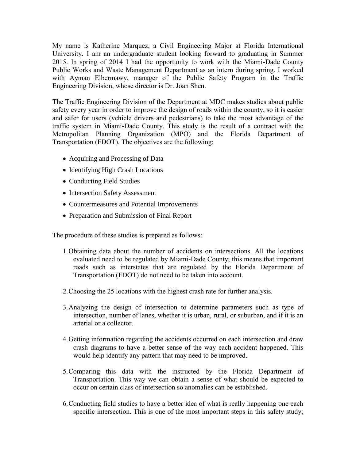My name is Katherine Marquez, a Civil Engineering Major at Florida International University. I am an undergraduate student looking forward to graduating in Summer 2015. In spring of 2014 I had the opportunity to work with the Miami-Dade County Public Works and Waste Management Department as an intern during spring. I worked with Ayman Elbermawy, manager of the Public Safety Program in the Traffic Engineering Division, whose director is Dr. Joan Shen.

The Traffic Engineering Division of the Department at MDC makes studies about public safety every year in order to improve the design of roads within the county, so it is easier and safer for users (vehicle drivers and pedestrians) to take the most advantage of the traffic system in Miami-Dade County. This study is the result of a contract with the Metropolitan Planning Organization (MPO) and the Florida Department of Transportation (FDOT). The objectives are the following:

- Acquiring and Processing of Data
- Identifying High Crash Locations
- Conducting Field Studies
- Intersection Safety Assessment
- Countermeasures and Potential Improvements
- Preparation and Submission of Final Report

The procedure of these studies is prepared as follows:

- 1.Obtaining data about the number of accidents on intersections. All the locations evaluated need to be regulated by Miami-Dade County; this means that important roads such as interstates that are regulated by the Florida Department of Transportation (FDOT) do not need to be taken into account.
- 2.Choosing the 25 locations with the highest crash rate for further analysis.
- 3.Analyzing the design of intersection to determine parameters such as type of intersection, number of lanes, whether it is urban, rural, or suburban, and if it is an arterial or a collector.
- 4.Getting information regarding the accidents occurred on each intersection and draw crash diagrams to have a better sense of the way each accident happened. This would help identify any pattern that may need to be improved.
- 5.Comparing this data with the instructed by the Florida Department of Transportation. This way we can obtain a sense of what should be expected to occur on certain class of intersection so anomalies can be established.
- 6.Conducting field studies to have a better idea of what is really happening one each specific intersection. This is one of the most important steps in this safety study;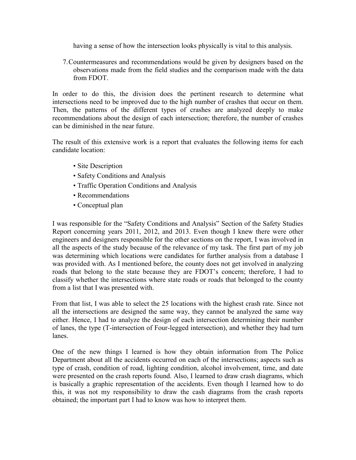having a sense of how the intersection looks physically is vital to this analysis.

7.Countermeasures and recommendations would be given by designers based on the observations made from the field studies and the comparison made with the data from FDOT.

In order to do this, the division does the pertinent research to determine what intersections need to be improved due to the high number of crashes that occur on them. Then, the patterns of the different types of crashes are analyzed deeply to make recommendations about the design of each intersection; therefore, the number of crashes can be diminished in the near future.

The result of this extensive work is a report that evaluates the following items for each candidate location:

- Site Description
- Safety Conditions and Analysis
- Traffic Operation Conditions and Analysis
- Recommendations
- Conceptual plan

I was responsible for the "Safety Conditions and Analysis" Section of the Safety Studies Report concerning years 2011, 2012, and 2013. Even though I knew there were other engineers and designers responsible for the other sections on the report, I was involved in all the aspects of the study because of the relevance of my task. The first part of my job was determining which locations were candidates for further analysis from a database I was provided with. As I mentioned before, the county does not get involved in analyzing roads that belong to the state because they are FDOT's concern; therefore, I had to classify whether the intersections where state roads or roads that belonged to the county from a list that I was presented with.

From that list, I was able to select the 25 locations with the highest crash rate. Since not all the intersections are designed the same way, they cannot be analyzed the same way either. Hence, I had to analyze the design of each intersection determining their number of lanes, the type (T-intersection of Four-legged intersection), and whether they had turn lanes.

One of the new things I learned is how they obtain information from The Police Department about all the accidents occurred on each of the intersections; aspects such as type of crash, condition of road, lighting condition, alcohol involvement, time, and date were presented on the crash reports found. Also, I learned to draw crash diagrams, which is basically a graphic representation of the accidents. Even though I learned how to do this, it was not my responsibility to draw the cash diagrams from the crash reports obtained; the important part I had to know was how to interpret them.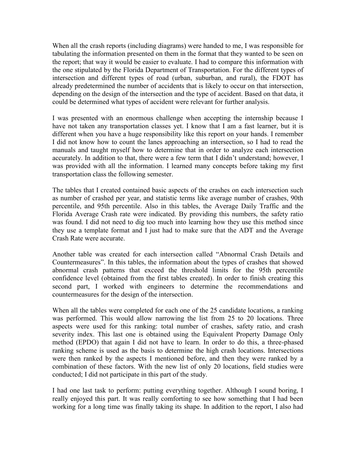When all the crash reports (including diagrams) were handed to me, I was responsible for tabulating the information presented on them in the format that they wanted to be seen on the report; that way it would be easier to evaluate. I had to compare this information with the one stipulated by the Florida Department of Transportation. For the different types of intersection and different types of road (urban, suburban, and rural), the FDOT has already predetermined the number of accidents that is likely to occur on that intersection, depending on the design of the intersection and the type of accident. Based on that data, it could be determined what types of accident were relevant for further analysis.

I was presented with an enormous challenge when accepting the internship because I have not taken any transportation classes yet. I know that I am a fast learner, but it is different when you have a huge responsibility like this report on your hands. I remember I did not know how to count the lanes approaching an intersection, so I had to read the manuals and taught myself how to determine that in order to analyze each intersection accurately. In addition to that, there were a few term that I didn't understand; however, I was provided with all the information. I learned many concepts before taking my first transportation class the following semester.

The tables that I created contained basic aspects of the crashes on each intersection such as number of crashed per year, and statistic terms like average number of crashes, 90th percentile, and 95th percentile. Also in this tables, the Average Daily Traffic and the Florida Average Crash rate were indicated. By providing this numbers, the safety ratio was found. I did not need to dig too much into learning how they use this method since they use a template format and I just had to make sure that the ADT and the Average Crash Rate were accurate.

Another table was created for each intersection called "Abnormal Crash Details and Countermeasures". In this tables, the information about the types of crashes that showed abnormal crash patterns that exceed the threshold limits for the 95th percentile confidence level (obtained from the first tables created). In order to finish creating this second part, I worked with engineers to determine the recommendations and countermeasures for the design of the intersection.

When all the tables were completed for each one of the 25 candidate locations, a ranking was performed. This would allow narrowing the list from 25 to 20 locations. Three aspects were used for this ranking: total number of crashes, safety ratio, and crash severity index. This last one is obtained using the Equivalent Property Damage Only method (EPDO) that again I did not have to learn. In order to do this, a three-phased ranking scheme is used as the basis to determine the high crash locations. Intersections were then ranked by the aspects I mentioned before, and then they were ranked by a combination of these factors. With the new list of only 20 locations, field studies were conducted; I did not participate in this part of the study.

I had one last task to perform: putting everything together. Although I sound boring, I really enjoyed this part. It was really comforting to see how something that I had been working for a long time was finally taking its shape. In addition to the report, I also had